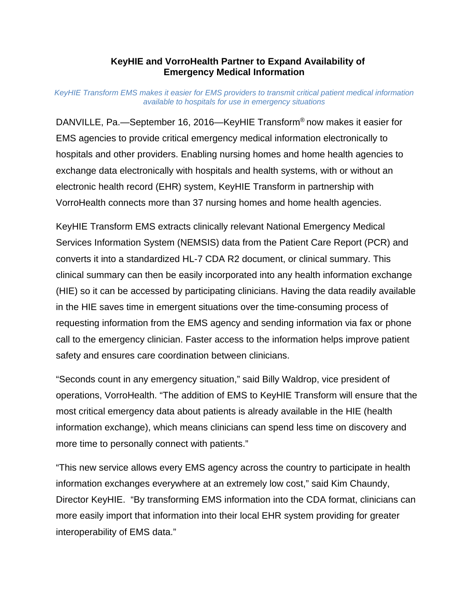## **KeyHIE and VorroHealth Partner to Expand Availability of Emergency Medical Information**

#### *KeyHIE Transform EMS makes it easier for EMS providers to transmit critical patient medical information available to hospitals for use in emergency situations*

DANVILLE, Pa.—September 16, 2016—KeyHIE Transform® now makes it easier for EMS agencies to provide critical emergency medical information electronically to hospitals and other providers. Enabling nursing homes and home health agencies to exchange data electronically with hospitals and health systems, with or without an electronic health record (EHR) system, KeyHIE Transform in partnership with VorroHealth connects more than 37 nursing homes and home health agencies.

KeyHIE Transform EMS extracts clinically relevant National Emergency Medical Services Information System (NEMSIS) data from the Patient Care Report (PCR) and converts it into a standardized HL-7 CDA R2 document, or clinical summary. This clinical summary can then be easily incorporated into any health information exchange (HIE) so it can be accessed by participating clinicians. Having the data readily available in the HIE saves time in emergent situations over the time-consuming process of requesting information from the EMS agency and sending information via fax or phone call to the emergency clinician. Faster access to the information helps improve patient safety and ensures care coordination between clinicians.

"Seconds count in any emergency situation," said Billy Waldrop, vice president of operations, VorroHealth. "The addition of EMS to KeyHIE Transform will ensure that the most critical emergency data about patients is already available in the HIE (health information exchange), which means clinicians can spend less time on discovery and more time to personally connect with patients."

"This new service allows every EMS agency across the country to participate in health information exchanges everywhere at an extremely low cost," said Kim Chaundy, Director KeyHIE. "By transforming EMS information into the CDA format, clinicians can more easily import that information into their local EHR system providing for greater interoperability of EMS data."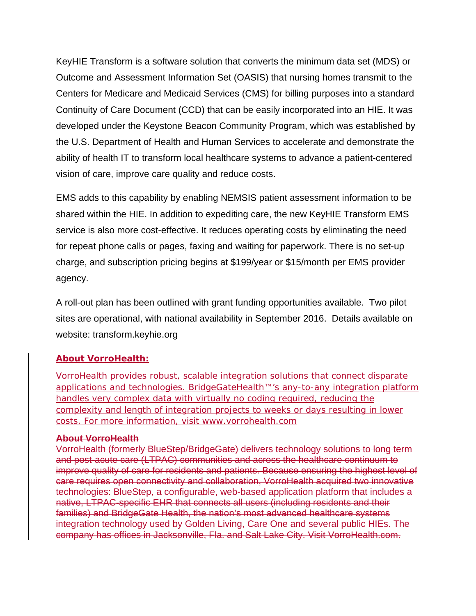KeyHIE Transform is a software solution that converts the minimum data set (MDS) or Outcome and Assessment Information Set (OASIS) that nursing homes transmit to the Centers for Medicare and Medicaid Services (CMS) for billing purposes into a standard Continuity of Care Document (CCD) that can be easily incorporated into an HIE. It was developed under the Keystone Beacon Community Program, which was established by the U.S. Department of Health and Human Services to accelerate and demonstrate the ability of health IT to transform local healthcare systems to advance a patient-centered vision of care, improve care quality and reduce costs.

EMS adds to this capability by enabling NEMSIS patient assessment information to be shared within the HIE. In addition to expediting care, the new KeyHIE Transform EMS service is also more cost-effective. It reduces operating costs by eliminating the need for repeat phone calls or pages, faxing and waiting for paperwork. There is no set-up charge, and subscription pricing begins at \$199/year or \$15/month per EMS provider agency.

A roll-out plan has been outlined with grant funding opportunities available. Two pilot sites are operational, with national availability in September 2016. Details available on website: transform.keyhie.org

## **About VorroHealth:**

VorroHealth provides robust, scalable integration solutions that connect disparate applications and technologies. BridgeGateHealth™'s any-to-any integration platform handles very complex data with virtually no coding required, reducing the complexity and length of integration projects to weeks or days resulting in lower costs. For more information, visit www.vorrohealth.com

#### **About VorroHealth**

VorroHealth (formerly BlueStep/BridgeGate) delivers technology solutions to long term and post-acute care (LTPAC) communities and across the healthcare continuum to improve quality of care for residents and patients. Because ensuring the highest level of care requires open connectivity and collaboration, VorroHealth acquired two innovative technologies: BlueStep, a configurable, web-based application platform that includes a native, LTPAC-specific EHR that connects all users (including residents and their families) and BridgeGate Health, the nation's most advanced healthcare systems integration technology used by Golden Living, Care One and several public HIEs. The company has offices in Jacksonville, Fla. and Salt Lake City. Visit VorroHealth.com.